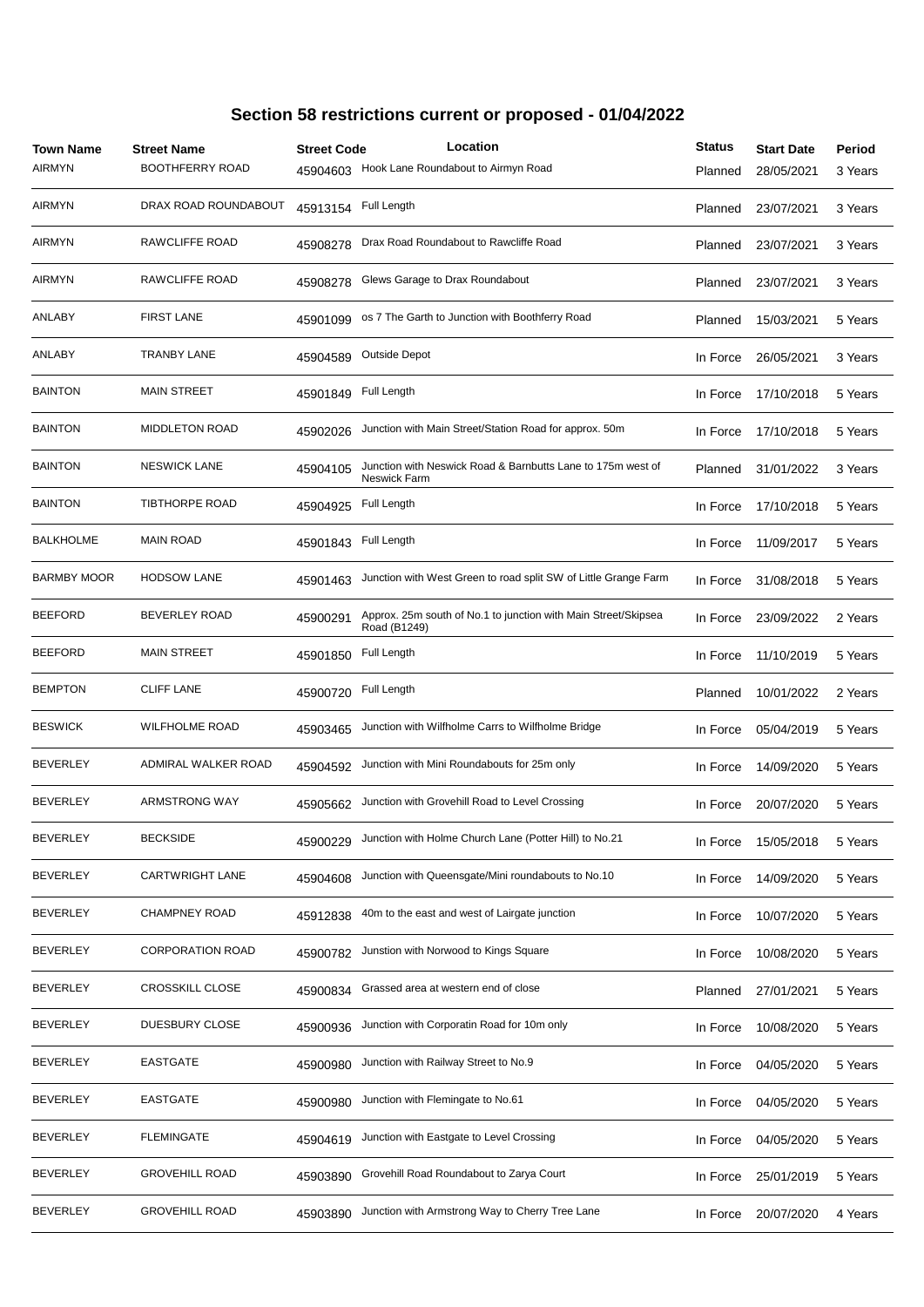| <b>Town Name</b><br><b>AIRMYN</b> | <b>Street Name</b><br><b>BOOTHFERRY ROAD</b> | <b>Street Code</b><br>45904603 | Location<br>Hook Lane Roundabout to Airmyn Road                                    | <b>Status</b><br>Planned | <b>Start Date</b><br>28/05/2021 | Period<br>3 Years |
|-----------------------------------|----------------------------------------------|--------------------------------|------------------------------------------------------------------------------------|--------------------------|---------------------------------|-------------------|
| <b>AIRMYN</b>                     | DRAX ROAD ROUNDABOUT                         | 45913154                       | Full Length                                                                        | Planned                  | 23/07/2021                      | 3 Years           |
| <b>AIRMYN</b>                     | RAWCLIFFE ROAD                               | 45908278                       | Drax Road Roundabout to Rawcliffe Road                                             | Planned                  | 23/07/2021                      | 3 Years           |
| <b>AIRMYN</b>                     | RAWCLIFFE ROAD                               | 45908278                       | Glews Garage to Drax Roundabout                                                    | Planned                  | 23/07/2021                      | 3 Years           |
| ANLABY                            | <b>FIRST LANE</b>                            | 45901099                       | os 7 The Garth to Junction with Boothferry Road                                    | Planned                  | 15/03/2021                      | 5 Years           |
| ANLABY                            | <b>TRANBY LANE</b>                           | 45904589                       | <b>Outside Depot</b>                                                               | In Force                 | 26/05/2021                      | 3 Years           |
| <b>BAINTON</b>                    | <b>MAIN STREET</b>                           | 45901849                       | Full Length                                                                        | In Force                 | 17/10/2018                      | 5 Years           |
| <b>BAINTON</b>                    | <b>MIDDLETON ROAD</b>                        | 45902026                       | Junction with Main Street/Station Road for approx. 50m                             | In Force                 | 17/10/2018                      | 5 Years           |
| <b>BAINTON</b>                    | <b>NESWICK LANE</b>                          | 45904105                       | Junction with Neswick Road & Barnbutts Lane to 175m west of<br><b>Neswick Farm</b> | Planned                  | 31/01/2022                      | 3 Years           |
| <b>BAINTON</b>                    | <b>TIBTHORPE ROAD</b>                        | 45904925                       | Full Length                                                                        | In Force                 | 17/10/2018                      | 5 Years           |
| <b>BALKHOLME</b>                  | <b>MAIN ROAD</b>                             | 45901843                       | Full Length                                                                        | In Force                 | 11/09/2017                      | 5 Years           |
| <b>BARMBY MOOR</b>                | <b>HODSOW LANE</b>                           | 45901463                       | Junction with West Green to road split SW of Little Grange Farm                    | In Force                 | 31/08/2018                      | 5 Years           |
| <b>BEEFORD</b>                    | <b>BEVERLEY ROAD</b>                         | 45900291                       | Approx. 25m south of No.1 to junction with Main Street/Skipsea<br>Road (B1249)     | In Force                 | 23/09/2022                      | 2 Years           |
| <b>BEEFORD</b>                    | <b>MAIN STREET</b>                           | 45901850                       | Full Length                                                                        | In Force                 | 11/10/2019                      | 5 Years           |
| <b>BEMPTON</b>                    | <b>CLIFF LANE</b>                            | 45900720                       | Full Length                                                                        | Planned                  | 10/01/2022                      | 2 Years           |
| <b>BESWICK</b>                    | <b>WILFHOLME ROAD</b>                        | 45903465                       | Junction with Wilfholme Carrs to Wilfholme Bridge                                  | In Force                 | 05/04/2019                      | 5 Years           |
| <b>BEVERLEY</b>                   | ADMIRAL WALKER ROAD                          | 45904592                       | Junction with Mini Roundabouts for 25m only                                        | In Force                 | 14/09/2020                      | 5 Years           |
| <b>BEVERLEY</b>                   | ARMSTRONG WAY                                | 45905662                       | Junction with Grovehill Road to Level Crossing                                     | In Force                 | 20/07/2020                      | 5 Years           |
| BEVERLEY                          | <b>BECKSIDE</b>                              | 45900229                       | Junction with Holme Church Lane (Potter Hill) to No.21                             | In Force                 | 15/05/2018                      | 5 Years           |
| <b>BEVERLEY</b>                   | <b>CARTWRIGHT LANE</b>                       | 45904608                       | Junction with Queensgate/Mini roundabouts to No.10                                 | In Force                 | 14/09/2020                      | 5 Years           |
| BEVERLEY                          | <b>CHAMPNEY ROAD</b>                         | 45912838                       | 40m to the east and west of Lairgate junction                                      | In Force                 | 10/07/2020                      | 5 Years           |
| BEVERLEY                          | <b>CORPORATION ROAD</b>                      | 45900782                       | Junstion with Norwood to Kings Square                                              | In Force                 | 10/08/2020                      | 5 Years           |
| BEVERLEY                          | <b>CROSSKILL CLOSE</b>                       | 45900834                       | Grassed area at western end of close                                               | Planned                  | 27/01/2021                      | 5 Years           |
| BEVERLEY                          | DUESBURY CLOSE                               | 45900936                       | Junction with Corporatin Road for 10m only                                         | In Force                 | 10/08/2020                      | 5 Years           |
| BEVERLEY                          | EASTGATE                                     | 45900980                       | Junction with Railway Street to No.9                                               | In Force                 | 04/05/2020                      | 5 Years           |
| BEVERLEY                          | <b>EASTGATE</b>                              | 45900980                       | Junction with Flemingate to No.61                                                  | In Force                 | 04/05/2020                      | 5 Years           |
| <b>BEVERLEY</b>                   | <b>FLEMINGATE</b>                            | 45904619                       | Junction with Eastgate to Level Crossing                                           | In Force                 | 04/05/2020                      | 5 Years           |
| BEVERLEY                          | <b>GROVEHILL ROAD</b>                        | 45903890                       | Grovehill Road Roundabout to Zarya Court                                           | In Force                 | 25/01/2019                      | 5 Years           |
| <b>BEVERLEY</b>                   | <b>GROVEHILL ROAD</b>                        | 45903890                       | Junction with Armstrong Way to Cherry Tree Lane                                    | In Force                 | 20/07/2020                      | 4 Years           |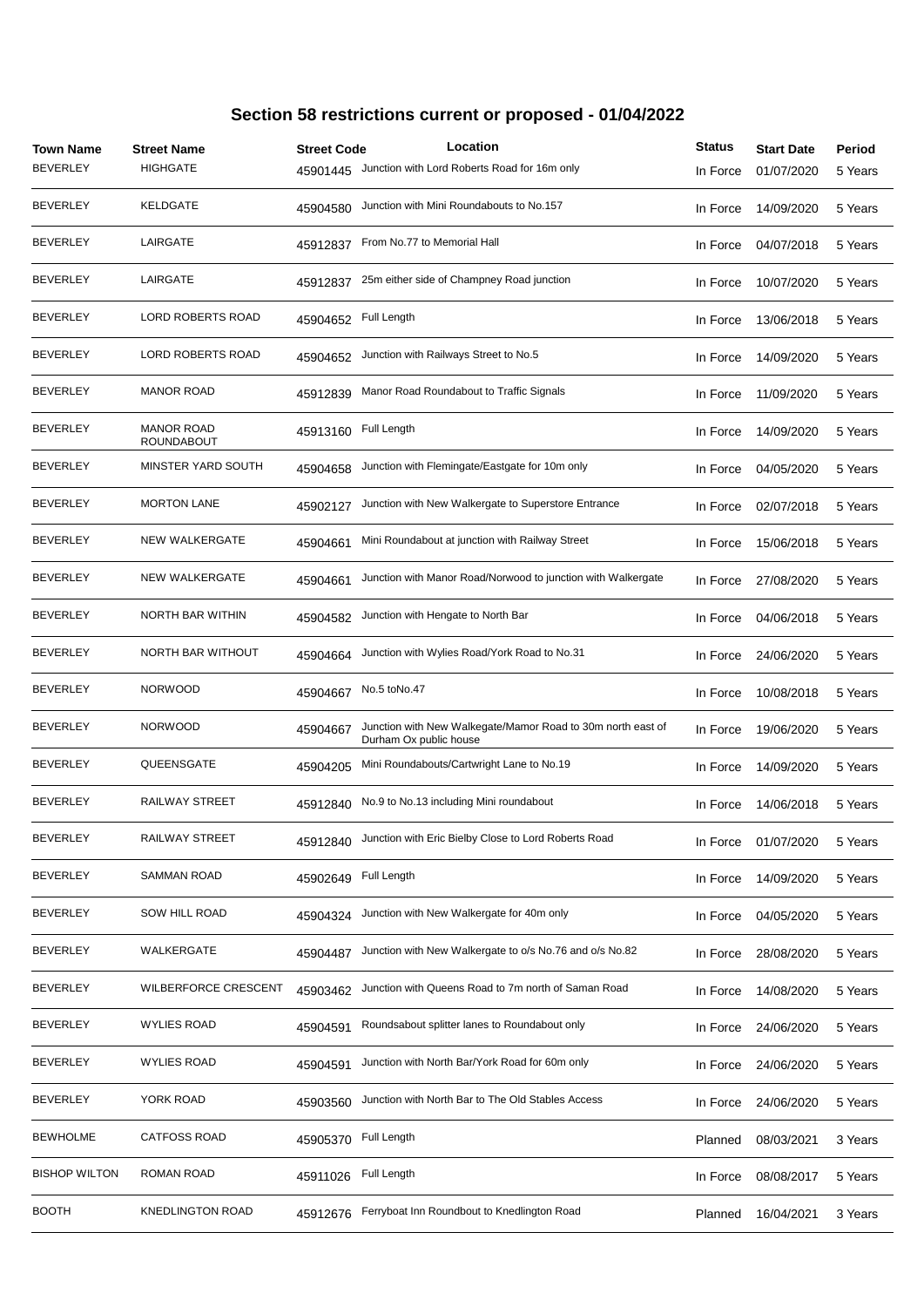| <b>Town Name</b><br><b>BEVERLEY</b> | <b>Street Name</b><br><b>HIGHGATE</b>  | <b>Street Code</b><br>45901445 | Location<br>Junction with Lord Roberts Road for 16m only                              | <b>Status</b><br>In Force | <b>Start Date</b><br>01/07/2020 | Period<br>5 Years |
|-------------------------------------|----------------------------------------|--------------------------------|---------------------------------------------------------------------------------------|---------------------------|---------------------------------|-------------------|
| BEVERLEY                            | <b>KELDGATE</b>                        | 45904580                       | Junction with Mini Roundabouts to No.157                                              | In Force                  | 14/09/2020                      | 5 Years           |
| BEVERLEY                            | LAIRGATE                               | 45912837                       | From No.77 to Memorial Hall                                                           | In Force                  | 04/07/2018                      | 5 Years           |
| BEVERLEY                            | LAIRGATE                               | 45912837                       | 25m either side of Champney Road junction                                             | In Force                  | 10/07/2020                      | 5 Years           |
| <b>BEVERLEY</b>                     | <b>LORD ROBERTS ROAD</b>               | 45904652                       | Full Length                                                                           | In Force                  | 13/06/2018                      | 5 Years           |
| <b>BEVERLEY</b>                     | <b>LORD ROBERTS ROAD</b>               | 45904652                       | Junction with Railways Street to No.5                                                 | In Force                  | 14/09/2020                      | 5 Years           |
| <b>BEVERLEY</b>                     | <b>MANOR ROAD</b>                      | 45912839                       | Manor Road Roundabout to Traffic Signals                                              | In Force                  | 11/09/2020                      | 5 Years           |
| <b>BEVERLEY</b>                     | <b>MANOR ROAD</b><br><b>ROUNDABOUT</b> | 45913160                       | Full Length                                                                           | In Force                  | 14/09/2020                      | 5 Years           |
| <b>BEVERLEY</b>                     | MINSTER YARD SOUTH                     | 45904658                       | Junction with Flemingate/Eastgate for 10m only                                        | In Force                  | 04/05/2020                      | 5 Years           |
| <b>BEVERLEY</b>                     | <b>MORTON LANE</b>                     | 45902127                       | Junction with New Walkergate to Superstore Entrance                                   | In Force                  | 02/07/2018                      | 5 Years           |
| <b>BEVERLEY</b>                     | <b>NEW WALKERGATE</b>                  | 45904661                       | Mini Roundabout at junction with Railway Street                                       | In Force                  | 15/06/2018                      | 5 Years           |
| <b>BEVERLEY</b>                     | <b>NEW WALKERGATE</b>                  | 45904661                       | Junction with Manor Road/Norwood to junction with Walkergate                          | In Force                  | 27/08/2020                      | 5 Years           |
| <b>BEVERLEY</b>                     | NORTH BAR WITHIN                       | 45904582                       | Junction with Hengate to North Bar                                                    | In Force                  | 04/06/2018                      | 5 Years           |
| <b>BEVERLEY</b>                     | NORTH BAR WITHOUT                      | 45904664                       | Junction with Wylies Road/York Road to No.31                                          | In Force                  | 24/06/2020                      | 5 Years           |
| <b>BEVERLEY</b>                     | <b>NORWOOD</b>                         | 45904667                       | No.5 toNo.47                                                                          | In Force                  | 10/08/2018                      | 5 Years           |
| <b>BEVERLEY</b>                     | <b>NORWOOD</b>                         | 45904667                       | Junction with New Walkegate/Mamor Road to 30m north east of<br>Durham Ox public house | In Force                  | 19/06/2020                      | 5 Years           |
| <b>BEVERLEY</b>                     | QUEENSGATE                             | 45904205                       | Mini Roundabouts/Cartwright Lane to No.19                                             | In Force                  | 14/09/2020                      | 5 Years           |
| <b>BEVERLEY</b>                     | RAILWAY STREET                         | 45912840                       | No.9 to No.13 including Mini roundabout                                               | In Force                  | 14/06/2018                      | 5 Years           |
| <b>BEVERLEY</b>                     | RAILWAY STREET                         | 45912840                       | Junction with Eric Bielby Close to Lord Roberts Road                                  | In Force                  | 01/07/2020                      | 5 Years           |
| <b>BEVERLEY</b>                     | <b>SAMMAN ROAD</b>                     | 45902649                       | Full Length                                                                           | In Force                  | 14/09/2020                      | 5 Years           |
| <b>BEVERLEY</b>                     | <b>SOW HILL ROAD</b>                   | 45904324                       | Junction with New Walkergate for 40m only                                             | In Force                  | 04/05/2020                      | 5 Years           |
| <b>BEVERLEY</b>                     | WALKERGATE                             | 45904487                       | Junction with New Walkergate to o/s No.76 and o/s No.82                               | In Force                  | 28/08/2020                      | 5 Years           |
| <b>BEVERLEY</b>                     | WILBERFORCE CRESCENT                   | 45903462                       | Junction with Queens Road to 7m north of Saman Road                                   | In Force                  | 14/08/2020                      | 5 Years           |
| <b>BEVERLEY</b>                     | <b>WYLIES ROAD</b>                     | 45904591                       | Roundsabout splitter lanes to Roundabout only                                         | In Force                  | 24/06/2020                      | 5 Years           |
| <b>BEVERLEY</b>                     | WYLIES ROAD                            | 45904591                       | Junction with North Bar/York Road for 60m only                                        | In Force                  | 24/06/2020                      | 5 Years           |
| <b>BEVERLEY</b>                     | YORK ROAD                              | 45903560                       | Junction with North Bar to The Old Stables Access                                     | In Force                  | 24/06/2020                      | 5 Years           |
| <b>BEWHOLME</b>                     | <b>CATFOSS ROAD</b>                    | 45905370                       | Full Length                                                                           | Planned                   | 08/03/2021                      | 3 Years           |
| <b>BISHOP WILTON</b>                | ROMAN ROAD                             | 45911026                       | Full Length                                                                           | In Force                  | 08/08/2017                      | 5 Years           |
| <b>BOOTH</b>                        | <b>KNEDLINGTON ROAD</b>                | 45912676                       | Ferryboat Inn Roundbout to Knedlington Road                                           | Planned                   | 16/04/2021                      | 3 Years           |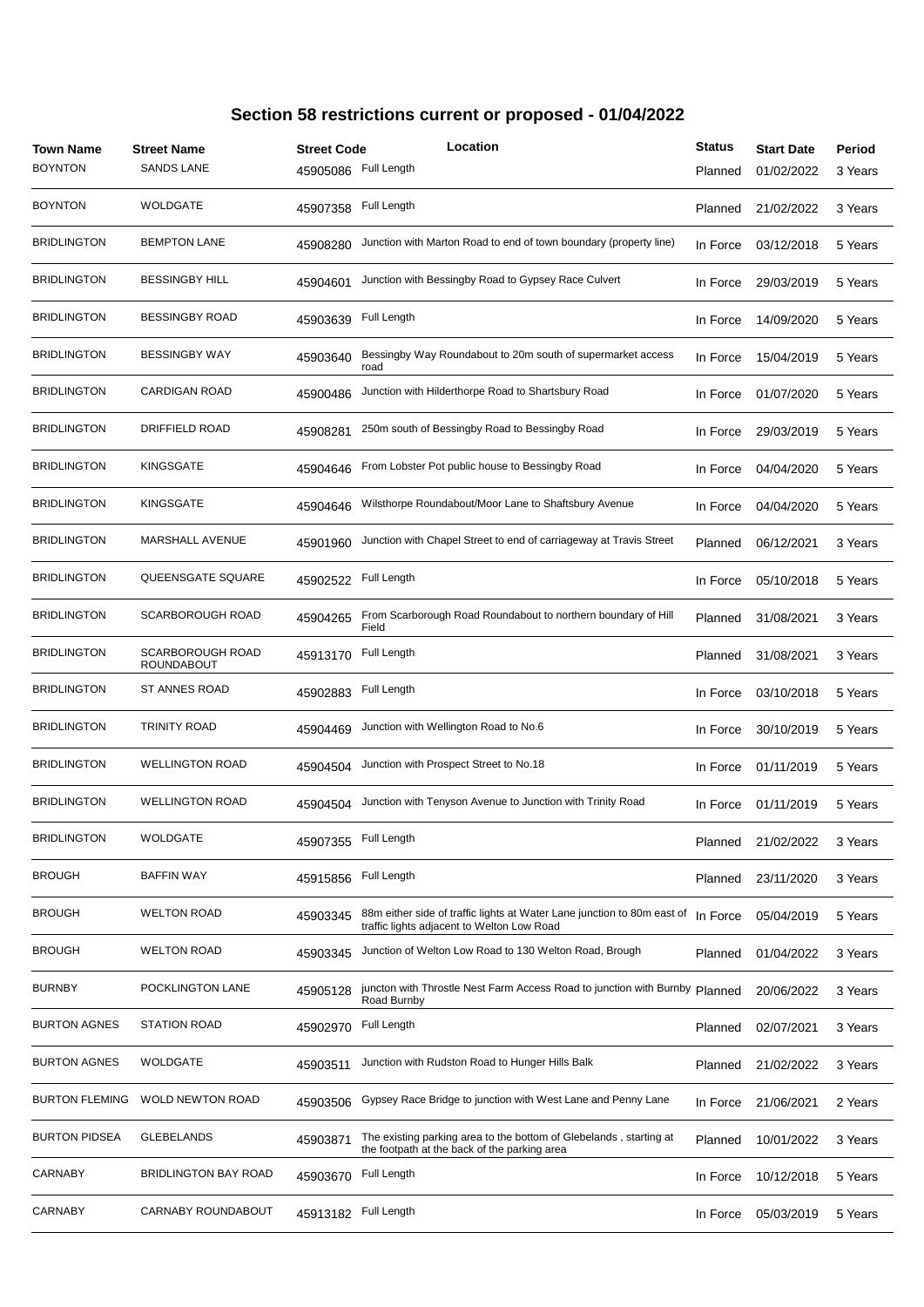| Town Name<br><b>BOYNTON</b> | <b>Street Name</b><br><b>SANDS LANE</b> | <b>Street Code</b><br>45905086 | Location<br>Full Length                                                                                               | <b>Status</b><br>Planned | <b>Start Date</b><br>01/02/2022 | Period<br>3 Years |
|-----------------------------|-----------------------------------------|--------------------------------|-----------------------------------------------------------------------------------------------------------------------|--------------------------|---------------------------------|-------------------|
| <b>BOYNTON</b>              | <b>WOLDGATE</b>                         | 45907358                       | Full Length                                                                                                           | Planned                  | 21/02/2022                      | 3 Years           |
| <b>BRIDLINGTON</b>          | <b>BEMPTON LANE</b>                     | 45908280                       | Junction with Marton Road to end of town boundary (property line)                                                     | In Force                 | 03/12/2018                      | 5 Years           |
| <b>BRIDLINGTON</b>          | <b>BESSINGBY HILL</b>                   | 45904601                       | Junction with Bessingby Road to Gypsey Race Culvert                                                                   | In Force                 | 29/03/2019                      | 5 Years           |
| <b>BRIDLINGTON</b>          | <b>BESSINGBY ROAD</b>                   | 45903639                       | Full Length                                                                                                           | In Force                 | 14/09/2020                      | 5 Years           |
| <b>BRIDLINGTON</b>          | <b>BESSINGBY WAY</b>                    | 45903640                       | Bessingby Way Roundabout to 20m south of supermarket access<br>road                                                   | In Force                 | 15/04/2019                      | 5 Years           |
| <b>BRIDLINGTON</b>          | <b>CARDIGAN ROAD</b>                    | 45900486                       | Junction with Hilderthorpe Road to Shartsbury Road                                                                    | In Force                 | 01/07/2020                      | 5 Years           |
| <b>BRIDLINGTON</b>          | <b>DRIFFIELD ROAD</b>                   | 45908281                       | 250m south of Bessingby Road to Bessingby Road                                                                        | In Force                 | 29/03/2019                      | 5 Years           |
| <b>BRIDLINGTON</b>          | <b>KINGSGATE</b>                        | 45904646                       | From Lobster Pot public house to Bessingby Road                                                                       | In Force                 | 04/04/2020                      | 5 Years           |
| <b>BRIDLINGTON</b>          | <b>KINGSGATE</b>                        | 45904646                       | Wilsthorpe Roundabout/Moor Lane to Shaftsbury Avenue                                                                  | In Force                 | 04/04/2020                      | 5 Years           |
| <b>BRIDLINGTON</b>          | MARSHALL AVENUE                         | 45901960                       | Junction with Chapel Street to end of carriageway at Travis Street                                                    | Planned                  | 06/12/2021                      | 3 Years           |
| <b>BRIDLINGTON</b>          | QUEENSGATE SQUARE                       | 45902522                       | Full Length                                                                                                           | In Force                 | 05/10/2018                      | 5 Years           |
| <b>BRIDLINGTON</b>          | <b>SCARBOROUGH ROAD</b>                 | 45904265                       | From Scarborough Road Roundabout to northern boundary of Hill<br>Field                                                | Planned                  | 31/08/2021                      | 3 Years           |
| <b>BRIDLINGTON</b>          | SCARBOROUGH ROAD<br><b>ROUNDABOUT</b>   | 45913170                       | Full Length                                                                                                           | Planned                  | 31/08/2021                      | 3 Years           |
| <b>BRIDLINGTON</b>          | ST ANNES ROAD                           | 45902883                       | Full Length                                                                                                           | In Force                 | 03/10/2018                      | 5 Years           |
| <b>BRIDLINGTON</b>          | <b>TRINITY ROAD</b>                     | 45904469                       | Junction with Wellington Road to No.6                                                                                 | In Force                 | 30/10/2019                      | 5 Years           |
| <b>BRIDLINGTON</b>          | <b>WELLINGTON ROAD</b>                  | 45904504                       | Junction with Prospect Street to No.18                                                                                | In Force                 | 01/11/2019                      | 5 Years           |
| <b>BRIDLINGTON</b>          | <b>WELLINGTON ROAD</b>                  | 45904504                       | Junction with Tenyson Avenue to Junction with Trinity Road                                                            | In Force                 | 01/11/2019                      | 5 Years           |
| <b>BRIDLINGTON</b>          | WOLDGATE                                | 45907355                       | Full Length                                                                                                           | Planned                  | 21/02/2022                      | 3 Years           |
| <b>BROUGH</b>               | <b>BAFFIN WAY</b>                       | 45915856                       | Full Length                                                                                                           | Planned                  | 23/11/2020                      | 3 Years           |
| <b>BROUGH</b>               | <b>WELTON ROAD</b>                      | 45903345                       | 88m either side of traffic lights at Water Lane junction to 80m east of<br>traffic lights adjacent to Welton Low Road | In Force                 | 05/04/2019                      | 5 Years           |
| <b>BROUGH</b>               | <b>WELTON ROAD</b>                      | 45903345                       | Junction of Welton Low Road to 130 Welton Road, Brough                                                                | Planned                  | 01/04/2022                      | 3 Years           |
| <b>BURNBY</b>               | POCKLINGTON LANE                        | 45905128                       | juncton with Throstle Nest Farm Access Road to junction with Burnby Planned<br>Road Burnby                            |                          | 20/06/2022                      | 3 Years           |
| <b>BURTON AGNES</b>         | STATION ROAD                            | 45902970                       | Full Length                                                                                                           | Planned                  | 02/07/2021                      | 3 Years           |
| <b>BURTON AGNES</b>         | WOLDGATE                                | 45903511                       | Junction with Rudston Road to Hunger Hills Balk                                                                       | Planned                  | 21/02/2022                      | 3 Years           |
| <b>BURTON FLEMING</b>       | <b>WOLD NEWTON ROAD</b>                 | 45903506                       | Gypsey Race Bridge to junction with West Lane and Penny Lane                                                          | In Force                 | 21/06/2021                      | 2 Years           |
| <b>BURTON PIDSEA</b>        | <b>GLEBELANDS</b>                       | 45903871                       | The existing parking area to the bottom of Glebelands, starting at<br>the footpath at the back of the parking area    | Planned                  | 10/01/2022                      | 3 Years           |
| CARNABY                     | <b>BRIDLINGTON BAY ROAD</b>             | 45903670                       | Full Length                                                                                                           | In Force                 | 10/12/2018                      | 5 Years           |
| CARNABY                     | CARNABY ROUNDABOUT                      | 45913182                       | Full Length                                                                                                           | In Force                 | 05/03/2019                      | 5 Years           |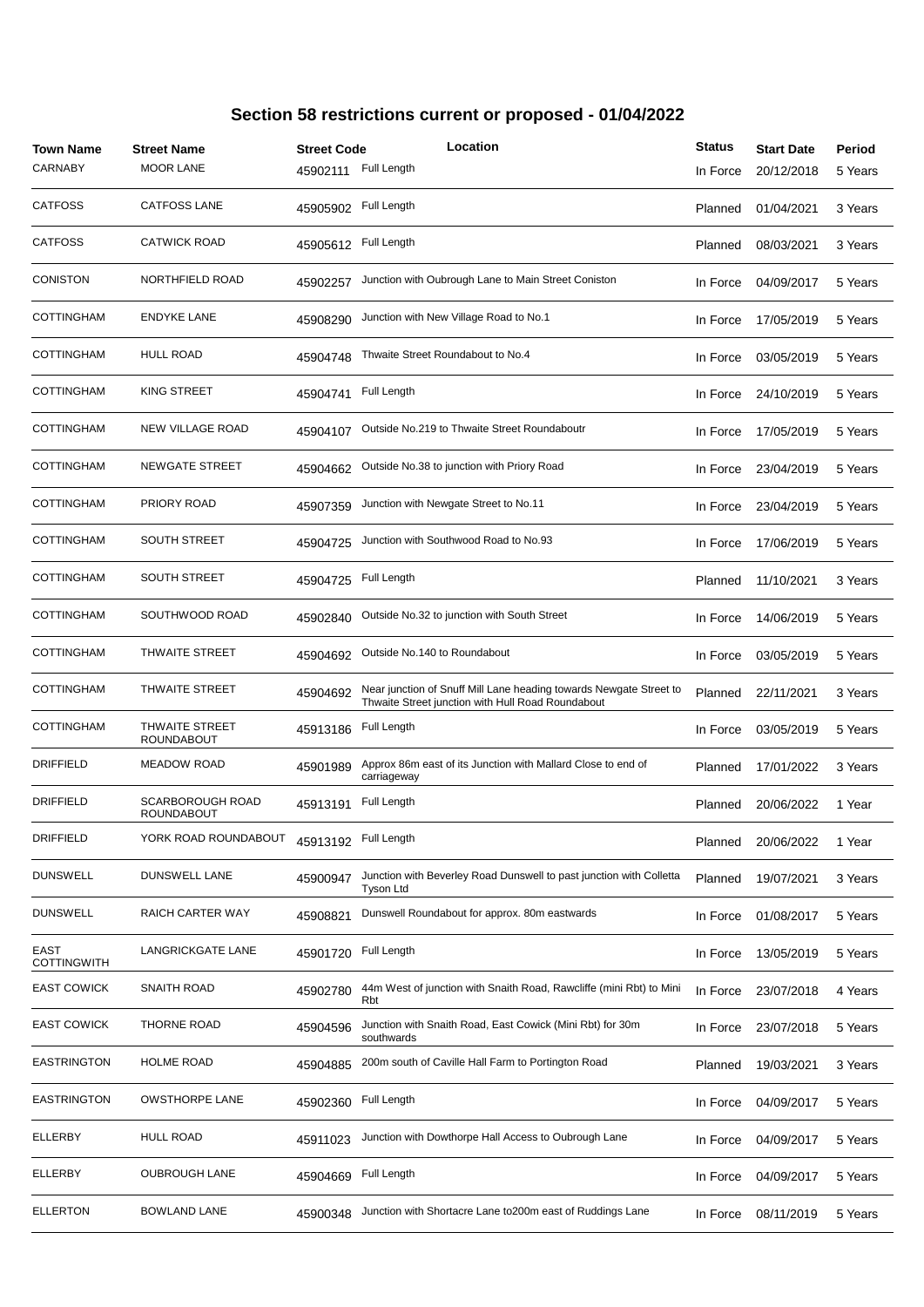| <b>Town Name</b><br>CARNABY | <b>Street Name</b><br><b>MOOR LANE</b>       | <b>Street Code</b><br>45902111 | Location<br>Full Length                                                                                                 | <b>Status</b><br>In Force | <b>Start Date</b><br>20/12/2018 | Period<br>5 Years |
|-----------------------------|----------------------------------------------|--------------------------------|-------------------------------------------------------------------------------------------------------------------------|---------------------------|---------------------------------|-------------------|
| <b>CATFOSS</b>              | <b>CATFOSS LANE</b>                          | 45905902                       | Full Length                                                                                                             | Planned                   | 01/04/2021                      | 3 Years           |
| <b>CATFOSS</b>              | <b>CATWICK ROAD</b>                          | 45905612                       | Full Length                                                                                                             | Planned                   | 08/03/2021                      | 3 Years           |
| CONISTON                    | NORTHFIELD ROAD                              | 45902257                       | Junction with Oubrough Lane to Main Street Coniston                                                                     | In Force                  | 04/09/2017                      | 5 Years           |
| COTTINGHAM                  | <b>ENDYKE LANE</b>                           | 45908290                       | Junction with New Village Road to No.1                                                                                  | In Force                  | 17/05/2019                      | 5 Years           |
| COTTINGHAM                  | <b>HULL ROAD</b>                             | 45904748                       | Thwaite Street Roundabout to No.4                                                                                       | In Force                  | 03/05/2019                      | 5 Years           |
| COTTINGHAM                  | <b>KING STREET</b>                           | 45904741                       | Full Length                                                                                                             | In Force                  | 24/10/2019                      | 5 Years           |
| COTTINGHAM                  | <b>NEW VILLAGE ROAD</b>                      | 45904107                       | Outside No.219 to Thwaite Street Roundaboutr                                                                            | In Force                  | 17/05/2019                      | 5 Years           |
| COTTINGHAM                  | <b>NEWGATE STREET</b>                        | 45904662                       | Outside No.38 to junction with Priory Road                                                                              | In Force                  | 23/04/2019                      | 5 Years           |
| COTTINGHAM                  | <b>PRIORY ROAD</b>                           | 45907359                       | Junction with Newgate Street to No.11                                                                                   | In Force                  | 23/04/2019                      | 5 Years           |
| COTTINGHAM                  | <b>SOUTH STREET</b>                          | 45904725                       | Junction with Southwood Road to No.93                                                                                   | In Force                  | 17/06/2019                      | 5 Years           |
| COTTINGHAM                  | <b>SOUTH STREET</b>                          | 45904725                       | Full Length                                                                                                             | Planned                   | 11/10/2021                      | 3 Years           |
| COTTINGHAM                  | SOUTHWOOD ROAD                               | 45902840                       | Outside No.32 to junction with South Street                                                                             | In Force                  | 14/06/2019                      | 5 Years           |
| COTTINGHAM                  | <b>THWAITE STREET</b>                        | 45904692                       | Outside No.140 to Roundabout                                                                                            | In Force                  | 03/05/2019                      | 5 Years           |
| COTTINGHAM                  | <b>THWAITE STREET</b>                        | 45904692                       | Near junction of Snuff Mill Lane heading towards Newgate Street to<br>Thwaite Street junction with Hull Road Roundabout | Planned                   | 22/11/2021                      | 3 Years           |
| COTTINGHAM                  | <b>THWAITE STREET</b><br><b>ROUNDABOUT</b>   | 45913186                       | Full Length                                                                                                             | In Force                  | 03/05/2019                      | 5 Years           |
| <b>DRIFFIELD</b>            | <b>MEADOW ROAD</b>                           | 45901989                       | Approx 86m east of its Junction with Mallard Close to end of<br>carriageway                                             | Planned                   | 17/01/2022                      | 3 Years           |
| <b>DRIFFIELD</b>            | <b>SCARBOROUGH ROAD</b><br><b>ROUNDABOUT</b> | 45913191                       | Full Length                                                                                                             | Planned                   | 20/06/2022                      | 1 Year            |
| <b>DRIFFIELD</b>            | YORK ROAD ROUNDABOUT                         | 45913192                       | Full Length                                                                                                             | Planned                   | 20/06/2022                      | 1 Year            |
| <b>DUNSWELL</b>             | <b>DUNSWELL LANE</b>                         | 45900947                       | Junction with Beverley Road Dunswell to past junction with Colletta<br>Tyson Ltd                                        | Planned                   | 19/07/2021                      | 3 Years           |
| <b>DUNSWELL</b>             | RAICH CARTER WAY                             | 45908821                       | Dunswell Roundabout for approx. 80m eastwards                                                                           | In Force                  | 01/08/2017                      | 5 Years           |
| EAST<br><b>COTTINGWITH</b>  | LANGRICKGATE LANE                            | 45901720                       | Full Length                                                                                                             | In Force                  | 13/05/2019                      | 5 Years           |
| <b>EAST COWICK</b>          | SNAITH ROAD                                  | 45902780                       | 44m West of junction with Snaith Road, Rawcliffe (mini Rbt) to Mini<br>Rbt                                              | In Force                  | 23/07/2018                      | 4 Years           |
| EAST COWICK                 | THORNE ROAD                                  | 45904596                       | Junction with Snaith Road, East Cowick (Mini Rbt) for 30m<br>southwards                                                 | In Force                  | 23/07/2018                      | 5 Years           |
| EASTRINGTON                 | <b>HOLME ROAD</b>                            | 45904885                       | 200m south of Caville Hall Farm to Portington Road                                                                      | Planned                   | 19/03/2021                      | 3 Years           |
| EASTRINGTON                 | <b>OWSTHORPE LANE</b>                        | 45902360                       | Full Length                                                                                                             | In Force                  | 04/09/2017                      | 5 Years           |
| ELLERBY                     | <b>HULL ROAD</b>                             | 45911023                       | Junction with Dowthorpe Hall Access to Oubrough Lane                                                                    | In Force                  | 04/09/2017                      | 5 Years           |
| ELLERBY                     | <b>OUBROUGH LANE</b>                         | 45904669                       | Full Length                                                                                                             | In Force                  | 04/09/2017                      | 5 Years           |
| ELLERTON                    | <b>BOWLAND LANE</b>                          | 45900348                       | Junction with Shortacre Lane to200m east of Ruddings Lane                                                               | In Force                  | 08/11/2019                      | 5 Years           |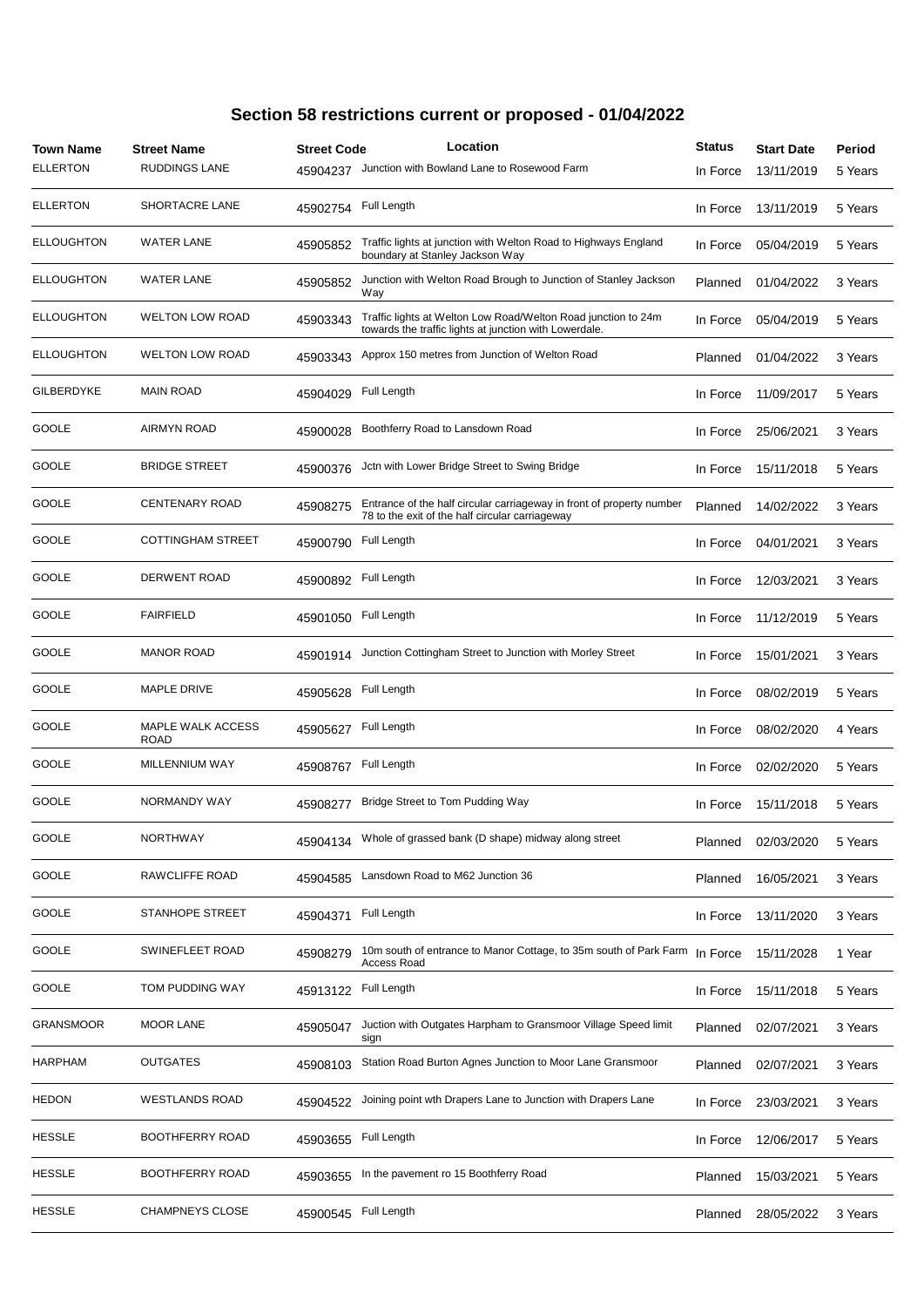| <b>Town Name</b>  | <b>Street Name</b>        | <b>Street Code</b> | Location                                                                                                                 | <b>Status</b> | <b>Start Date</b> | Period  |
|-------------------|---------------------------|--------------------|--------------------------------------------------------------------------------------------------------------------------|---------------|-------------------|---------|
| <b>ELLERTON</b>   | <b>RUDDINGS LANE</b>      | 45904237           | Junction with Bowland Lane to Rosewood Farm                                                                              | In Force      | 13/11/2019        | 5 Years |
| <b>ELLERTON</b>   | SHORTACRE LANE            | 45902754           | Full Length                                                                                                              | In Force      | 13/11/2019        | 5 Years |
| <b>ELLOUGHTON</b> | <b>WATER LANE</b>         | 45905852           | Traffic lights at junction with Welton Road to Highways England<br>boundary at Stanley Jackson Way                       | In Force      | 05/04/2019        | 5 Years |
| <b>ELLOUGHTON</b> | <b>WATER LANE</b>         | 45905852           | Junction with Welton Road Brough to Junction of Stanley Jackson<br>Way                                                   | Planned       | 01/04/2022        | 3 Years |
| <b>ELLOUGHTON</b> | <b>WELTON LOW ROAD</b>    | 45903343           | Traffic lights at Welton Low Road/Welton Road junction to 24m<br>towards the traffic lights at junction with Lowerdale.  | In Force      | 05/04/2019        | 5 Years |
| <b>ELLOUGHTON</b> | <b>WELTON LOW ROAD</b>    | 45903343           | Approx 150 metres from Junction of Welton Road                                                                           | Planned       | 01/04/2022        | 3 Years |
| <b>GILBERDYKE</b> | <b>MAIN ROAD</b>          | 45904029           | Full Length                                                                                                              | In Force      | 11/09/2017        | 5 Years |
| GOOLE             | AIRMYN ROAD               | 45900028           | Boothferry Road to Lansdown Road                                                                                         | In Force      | 25/06/2021        | 3 Years |
| GOOLE             | <b>BRIDGE STREET</b>      | 45900376           | Jctn with Lower Bridge Street to Swing Bridge                                                                            | In Force      | 15/11/2018        | 5 Years |
| GOOLE             | <b>CENTENARY ROAD</b>     | 45908275           | Entrance of the half circular carriageway in front of property number<br>78 to the exit of the half circular carriageway | Planned       | 14/02/2022        | 3 Years |
| GOOLE             | <b>COTTINGHAM STREET</b>  | 45900790           | Full Length                                                                                                              | In Force      | 04/01/2021        | 3 Years |
| GOOLE             | <b>DERWENT ROAD</b>       | 45900892           | Full Length                                                                                                              | In Force      | 12/03/2021        | 3 Years |
| GOOLE             | <b>FAIRFIELD</b>          | 45901050           | Full Length                                                                                                              | In Force      | 11/12/2019        | 5 Years |
| GOOLE             | <b>MANOR ROAD</b>         | 45901914           | Junction Cottingham Street to Junction with Morley Street                                                                | In Force      | 15/01/2021        | 3 Years |
| GOOLE             | MAPLE DRIVE               | 45905628           | Full Length                                                                                                              | In Force      | 08/02/2019        | 5 Years |
| GOOLE             | MAPLE WALK ACCESS<br>ROAD | 45905627           | Full Length                                                                                                              | In Force      | 08/02/2020        | 4 Years |
| GOOLE             | MILLENNIUM WAY            | 45908767           | Full Length                                                                                                              | In Force      | 02/02/2020        | 5 Years |
| GOOLE             | NORMANDY WAY              | 45908277           | Bridge Street to Tom Pudding Way                                                                                         | In Force      | 15/11/2018        | 5 Years |
| GOOLE             | <b>NORTHWAY</b>           | 45904134           | Whole of grassed bank (D shape) midway along street                                                                      | Planned       | 02/03/2020        | 5 Years |
| GOOLE             | RAWCLIFFE ROAD            | 45904585           | Lansdown Road to M62 Junction 36                                                                                         | Planned       | 16/05/2021        | 3 Years |
| GOOLE             | <b>STANHOPE STREET</b>    | 45904371           | Full Length                                                                                                              | In Force      | 13/11/2020        | 3 Years |
| GOOLE             | SWINEFLEET ROAD           | 45908279           | 10m south of entrance to Manor Cottage, to 35m south of Park Farm<br>Access Road                                         | In Force      | 15/11/2028        | 1 Year  |
| GOOLE             | TOM PUDDING WAY           | 45913122           | Full Length                                                                                                              | In Force      | 15/11/2018        | 5 Years |
| <b>GRANSMOOR</b>  | <b>MOOR LANE</b>          | 45905047           | Juction with Outgates Harpham to Gransmoor Village Speed limit<br>sign                                                   | Planned       | 02/07/2021        | 3 Years |
| HARPHAM           | OUTGATES                  | 45908103           | Station Road Burton Agnes Junction to Moor Lane Gransmoor                                                                | Planned       | 02/07/2021        | 3 Years |
| HEDON             | WESTLANDS ROAD            | 45904522           | Joining point wth Drapers Lane to Junction with Drapers Lane                                                             | In Force      | 23/03/2021        | 3 Years |
| HESSLE            | BOOTHFERRY ROAD           | 45903655           | Full Length                                                                                                              | In Force      | 12/06/2017        | 5 Years |
| <b>HESSLE</b>     | BOOTHFERRY ROAD           | 45903655           | In the pavement ro 15 Boothferry Road                                                                                    | Planned       | 15/03/2021        | 5 Years |
| HESSLE            | <b>CHAMPNEYS CLOSE</b>    | 45900545           | Full Length                                                                                                              | Planned       | 28/05/2022        | 3 Years |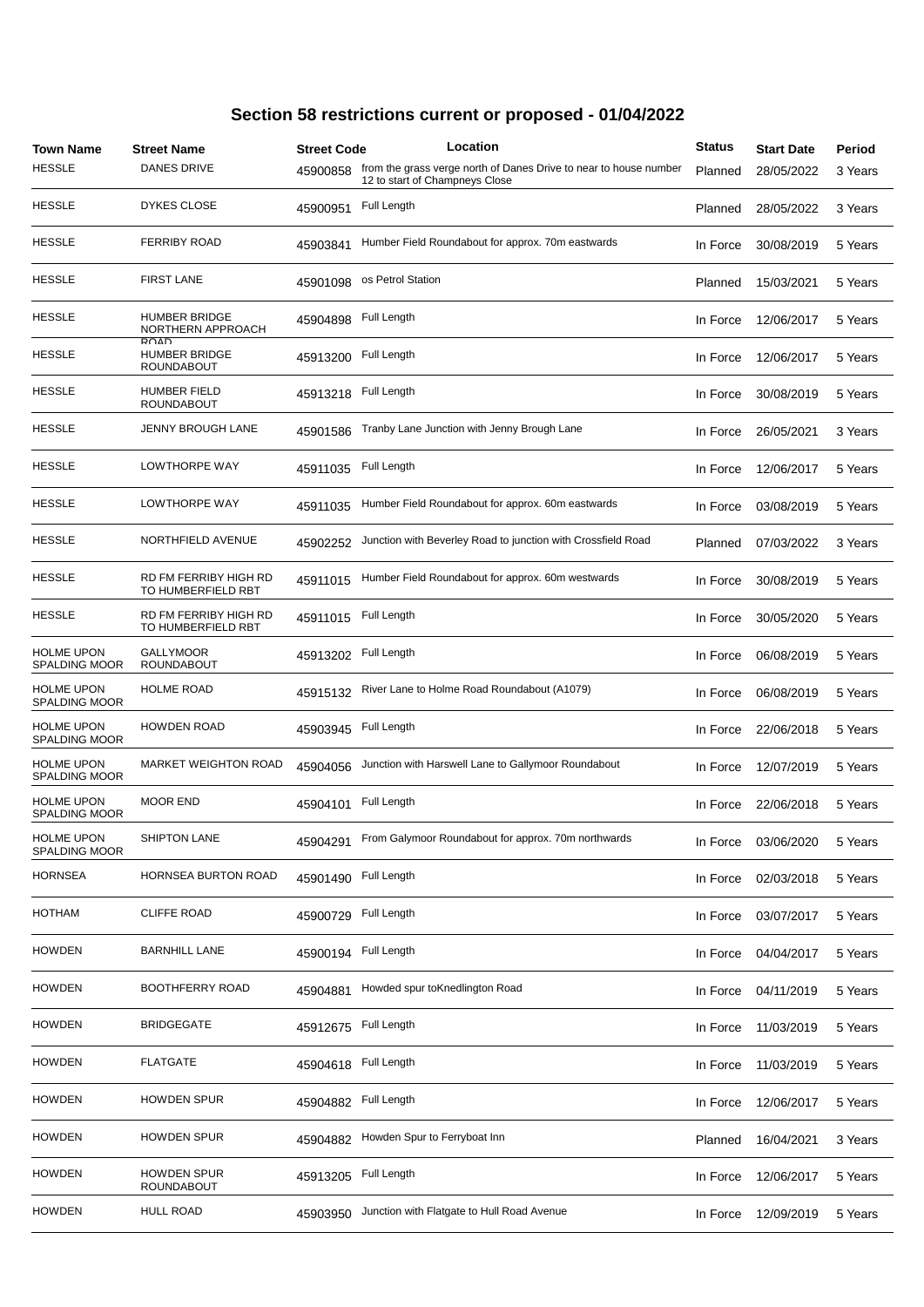| <b>Town Name</b><br><b>HESSLE</b>         | <b>Street Name</b><br><b>DANES DRIVE</b>          | <b>Street Code</b><br>45900858 | Location<br>from the grass verge north of Danes Drive to near to house number<br>12 to start of Champneys Close | <b>Status</b><br>Planned | <b>Start Date</b><br>28/05/2022 | Period<br>3 Years |
|-------------------------------------------|---------------------------------------------------|--------------------------------|-----------------------------------------------------------------------------------------------------------------|--------------------------|---------------------------------|-------------------|
| <b>HESSLE</b>                             | <b>DYKES CLOSE</b>                                | 45900951                       | Full Length                                                                                                     | Planned                  | 28/05/2022                      | 3 Years           |
| <b>HESSLE</b>                             | <b>FERRIBY ROAD</b>                               | 45903841                       | Humber Field Roundabout for approx. 70m eastwards                                                               | In Force                 | 30/08/2019                      | 5 Years           |
| <b>HESSLE</b>                             | <b>FIRST LANE</b>                                 | 45901098                       | os Petrol Station                                                                                               | Planned                  | 15/03/2021                      | 5 Years           |
| <b>HESSLE</b>                             | <b>HUMBER BRIDGE</b><br>NORTHERN APPROACH         | 45904898                       | Full Length                                                                                                     | In Force                 | 12/06/2017                      | 5 Years           |
| <b>HESSLE</b>                             | RUAD<br><b>HUMBER BRIDGE</b><br><b>ROUNDABOUT</b> | 45913200                       | Full Length                                                                                                     | In Force                 | 12/06/2017                      | 5 Years           |
| <b>HESSLE</b>                             | <b>HUMBER FIELD</b><br>ROUNDABOUT                 | 45913218                       | Full Length                                                                                                     | In Force                 | 30/08/2019                      | 5 Years           |
| <b>HESSLE</b>                             | JENNY BROUGH LANE                                 | 45901586                       | Tranby Lane Junction with Jenny Brough Lane                                                                     | In Force                 | 26/05/2021                      | 3 Years           |
| <b>HESSLE</b>                             | LOWTHORPE WAY                                     | 45911035                       | Full Length                                                                                                     | In Force                 | 12/06/2017                      | 5 Years           |
| <b>HESSLE</b>                             | LOWTHORPE WAY                                     | 45911035                       | Humber Field Roundabout for approx. 60m eastwards                                                               | In Force                 | 03/08/2019                      | 5 Years           |
| <b>HESSLE</b>                             | NORTHFIELD AVENUE                                 | 45902252                       | Junction with Beverley Road to junction with Crossfield Road                                                    | Planned                  | 07/03/2022                      | 3 Years           |
| <b>HESSLE</b>                             | RD FM FERRIBY HIGH RD<br>TO HUMBERFIELD RBT       | 45911015                       | Humber Field Roundabout for approx. 60m westwards                                                               | In Force                 | 30/08/2019                      | 5 Years           |
| <b>HESSLE</b>                             | RD FM FERRIBY HIGH RD<br>TO HUMBERFIELD RBT       | 45911015                       | Full Length                                                                                                     | In Force                 | 30/05/2020                      | 5 Years           |
| <b>HOLME UPON</b><br><b>SPALDING MOOR</b> | <b>GALLYMOOR</b><br><b>ROUNDABOUT</b>             | 45913202                       | Full Length                                                                                                     | In Force                 | 06/08/2019                      | 5 Years           |
| <b>HOLME UPON</b><br><b>SPALDING MOOR</b> | <b>HOLME ROAD</b>                                 | 45915132                       | River Lane to Holme Road Roundabout (A1079)                                                                     | In Force                 | 06/08/2019                      | 5 Years           |
| <b>HOLME UPON</b><br><b>SPALDING MOOR</b> | <b>HOWDEN ROAD</b>                                | 45903945                       | Full Length                                                                                                     | In Force                 | 22/06/2018                      | 5 Years           |
| <b>HOLME UPON</b><br><b>SPALDING MOOR</b> | MARKET WEIGHTON ROAD                              | 45904056                       | Junction with Harswell Lane to Gallymoor Roundabout                                                             | In Force                 | 12/07/2019                      | 5 Years           |
| <b>HOLME UPON</b><br><b>SPALDING MOOR</b> | <b>MOOR END</b>                                   | 45904101                       | Full Length                                                                                                     | In Force                 | 22/06/2018                      | 5 Years           |
| <b>HOLME UPON</b><br>SPALDING MOOR        | SHIPTON LANE                                      | 45904291                       | From Galymoor Roundabout for approx. 70m northwards                                                             | In Force                 | 03/06/2020                      | 5 Years           |
| <b>HORNSEA</b>                            | <b>HORNSEA BURTON ROAD</b>                        | 45901490                       | Full Length                                                                                                     | In Force                 | 02/03/2018                      | 5 Years           |
| HOTHAM                                    | <b>CLIFFE ROAD</b>                                | 45900729                       | Full Length                                                                                                     | In Force                 | 03/07/2017                      | 5 Years           |
| <b>HOWDEN</b>                             | <b>BARNHILL LANE</b>                              | 45900194                       | Full Length                                                                                                     | In Force                 | 04/04/2017                      | 5 Years           |
| <b>HOWDEN</b>                             | BOOTHFERRY ROAD                                   | 45904881                       | Howded spur toKnedlington Road                                                                                  | In Force                 | 04/11/2019                      | 5 Years           |
| <b>HOWDEN</b>                             | <b>BRIDGEGATE</b>                                 | 45912675                       | Full Length                                                                                                     | In Force                 | 11/03/2019                      | 5 Years           |
| <b>HOWDEN</b>                             | <b>FLATGATE</b>                                   | 45904618                       | Full Length                                                                                                     | In Force                 | 11/03/2019                      | 5 Years           |
| <b>HOWDEN</b>                             | <b>HOWDEN SPUR</b>                                | 45904882                       | Full Length                                                                                                     | In Force                 | 12/06/2017                      | 5 Years           |
| <b>HOWDEN</b>                             | <b>HOWDEN SPUR</b>                                | 45904882                       | Howden Spur to Ferryboat Inn                                                                                    | Planned                  | 16/04/2021                      | 3 Years           |
| <b>HOWDEN</b>                             | <b>HOWDEN SPUR</b><br>ROUNDABOUT                  | 45913205                       | Full Length                                                                                                     | In Force                 | 12/06/2017                      | 5 Years           |
| <b>HOWDEN</b>                             | <b>HULL ROAD</b>                                  | 45903950                       | Junction with Flatgate to Hull Road Avenue                                                                      | In Force                 | 12/09/2019                      | 5 Years           |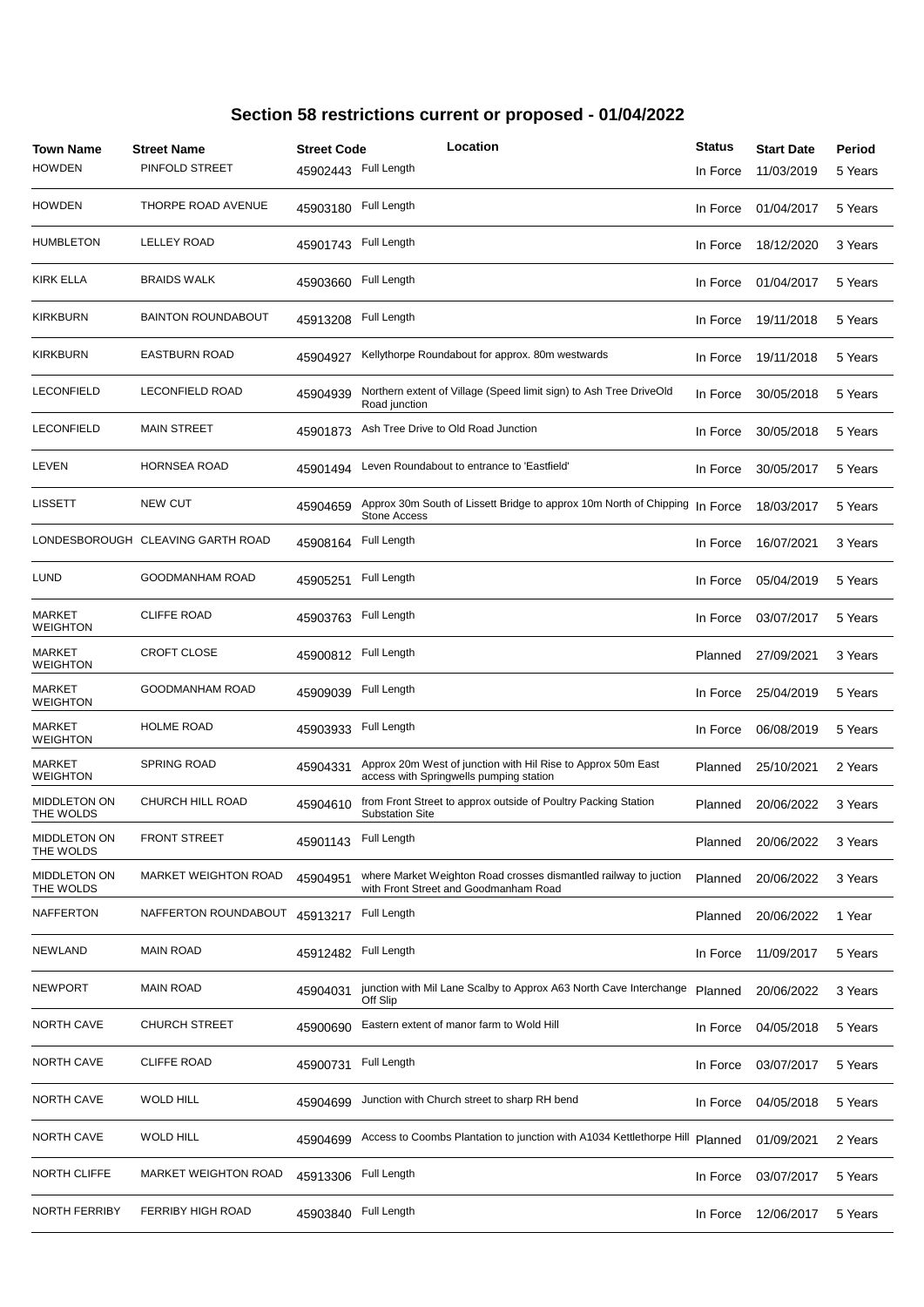| Town Name<br><b>HOWDEN</b>       | <b>Street Name</b><br>PINFOLD STREET | <b>Street Code</b><br>45902443 | Location<br>Full Length                                                                                   | <b>Status</b><br>In Force | <b>Start Date</b><br>11/03/2019 | Period<br>5 Years |
|----------------------------------|--------------------------------------|--------------------------------|-----------------------------------------------------------------------------------------------------------|---------------------------|---------------------------------|-------------------|
| <b>HOWDEN</b>                    | THORPE ROAD AVENUE                   | 45903180                       | Full Length                                                                                               | In Force                  | 01/04/2017                      | 5 Years           |
| <b>HUMBLETON</b>                 | <b>LELLEY ROAD</b>                   | 45901743                       | Full Length                                                                                               | In Force                  | 18/12/2020                      | 3 Years           |
| KIRK ELLA                        | <b>BRAIDS WALK</b>                   | 45903660                       | Full Length                                                                                               | In Force                  | 01/04/2017                      | 5 Years           |
| <b>KIRKBURN</b>                  | <b>BAINTON ROUNDABOUT</b>            | 45913208                       | Full Length                                                                                               | In Force                  | 19/11/2018                      | 5 Years           |
| KIRKBURN                         | <b>EASTBURN ROAD</b>                 | 45904927                       | Kellythorpe Roundabout for approx. 80m westwards                                                          | In Force                  | 19/11/2018                      | 5 Years           |
| <b>LECONFIELD</b>                | <b>LECONFIELD ROAD</b>               | 45904939                       | Northern extent of Village (Speed limit sign) to Ash Tree DriveOld<br>Road junction                       | In Force                  | 30/05/2018                      | 5 Years           |
| <b>LECONFIELD</b>                | <b>MAIN STREET</b>                   | 45901873                       | Ash Tree Drive to Old Road Junction                                                                       | In Force                  | 30/05/2018                      | 5 Years           |
| LEVEN                            | <b>HORNSEA ROAD</b>                  | 45901494                       | Leven Roundabout to entrance to 'Eastfield'                                                               | In Force                  | 30/05/2017                      | 5 Years           |
| <b>LISSETT</b>                   | <b>NEW CUT</b>                       | 45904659                       | Approx 30m South of Lissett Bridge to approx 10m North of Chipping<br><b>Stone Access</b>                 | In Force                  | 18/03/2017                      | 5 Years           |
|                                  | LONDESBOROUGH CLEAVING GARTH ROAD    | 45908164                       | Full Length                                                                                               | In Force                  | 16/07/2021                      | 3 Years           |
| LUND                             | GOODMANHAM ROAD                      | 45905251                       | Full Length                                                                                               | In Force                  | 05/04/2019                      | 5 Years           |
| <b>MARKET</b><br><b>WEIGHTON</b> | <b>CLIFFE ROAD</b>                   | 45903763                       | Full Length                                                                                               | In Force                  | 03/07/2017                      | 5 Years           |
| <b>MARKET</b><br><b>WEIGHTON</b> | <b>CROFT CLOSE</b>                   | 45900812                       | Full Length                                                                                               | Planned                   | 27/09/2021                      | 3 Years           |
| <b>MARKET</b><br><b>WEIGHTON</b> | GOODMANHAM ROAD                      | 45909039                       | Full Length                                                                                               | In Force                  | 25/04/2019                      | 5 Years           |
| <b>MARKET</b><br><b>WEIGHTON</b> | <b>HOLME ROAD</b>                    | 45903933                       | Full Length                                                                                               | In Force                  | 06/08/2019                      | 5 Years           |
| <b>MARKET</b><br><b>WEIGHTON</b> | <b>SPRING ROAD</b>                   | 45904331                       | Approx 20m West of junction with Hil Rise to Approx 50m East<br>access with Springwells pumping station   | Planned                   | 25/10/2021                      | 2 Years           |
| <b>MIDDLETON ON</b><br>THE WOLDS | CHURCH HILL ROAD                     | 45904610                       | from Front Street to approx outside of Poultry Packing Station<br><b>Substation Site</b>                  | Planned                   | 20/06/2022                      | 3 Years           |
| MIDDLETON ON<br>THE WOLDS        | <b>FRONT STREET</b>                  | 45901143                       | Full Length                                                                                               | Planned                   | 20/06/2022                      | 3 Years           |
| MIDDLETON ON<br>THE WOLDS        | <b>MARKET WEIGHTON ROAD</b>          | 45904951                       | where Market Weighton Road crosses dismantled railway to juction<br>with Front Street and Goodmanham Road | Planned                   | 20/06/2022                      | 3 Years           |
| NAFFERTON                        | NAFFERTON ROUNDABOUT                 | 45913217                       | Full Length                                                                                               | Planned                   | 20/06/2022                      | 1 Year            |
| NEWLAND                          | <b>MAIN ROAD</b>                     | 45912482                       | Full Length                                                                                               | In Force                  | 11/09/2017                      | 5 Years           |
| NEWPORT                          | <b>MAIN ROAD</b>                     | 45904031                       | junction with Mil Lane Scalby to Approx A63 North Cave Interchange<br>Off Slip                            | Planned                   | 20/06/2022                      | 3 Years           |
| <b>NORTH CAVE</b>                | <b>CHURCH STREET</b>                 | 45900690                       | Eastern extent of manor farm to Wold Hill                                                                 | In Force                  | 04/05/2018                      | 5 Years           |
| <b>NORTH CAVE</b>                | <b>CLIFFE ROAD</b>                   | 45900731                       | Full Length                                                                                               | In Force                  | 03/07/2017                      | 5 Years           |
| <b>NORTH CAVE</b>                | <b>WOLD HILL</b>                     | 45904699                       | Junction with Church street to sharp RH bend                                                              | In Force                  | 04/05/2018                      | 5 Years           |
| <b>NORTH CAVE</b>                | <b>WOLD HILL</b>                     | 45904699                       | Access to Coombs Plantation to junction with A1034 Kettlethorpe Hill                                      | Planned                   | 01/09/2021                      | 2 Years           |
| NORTH CLIFFE                     | <b>MARKET WEIGHTON ROAD</b>          | 45913306                       | Full Length                                                                                               | In Force                  | 03/07/2017                      | 5 Years           |
| NORTH FERRIBY                    | <b>FERRIBY HIGH ROAD</b>             | 45903840                       | Full Length                                                                                               | In Force                  | 12/06/2017                      | 5 Years           |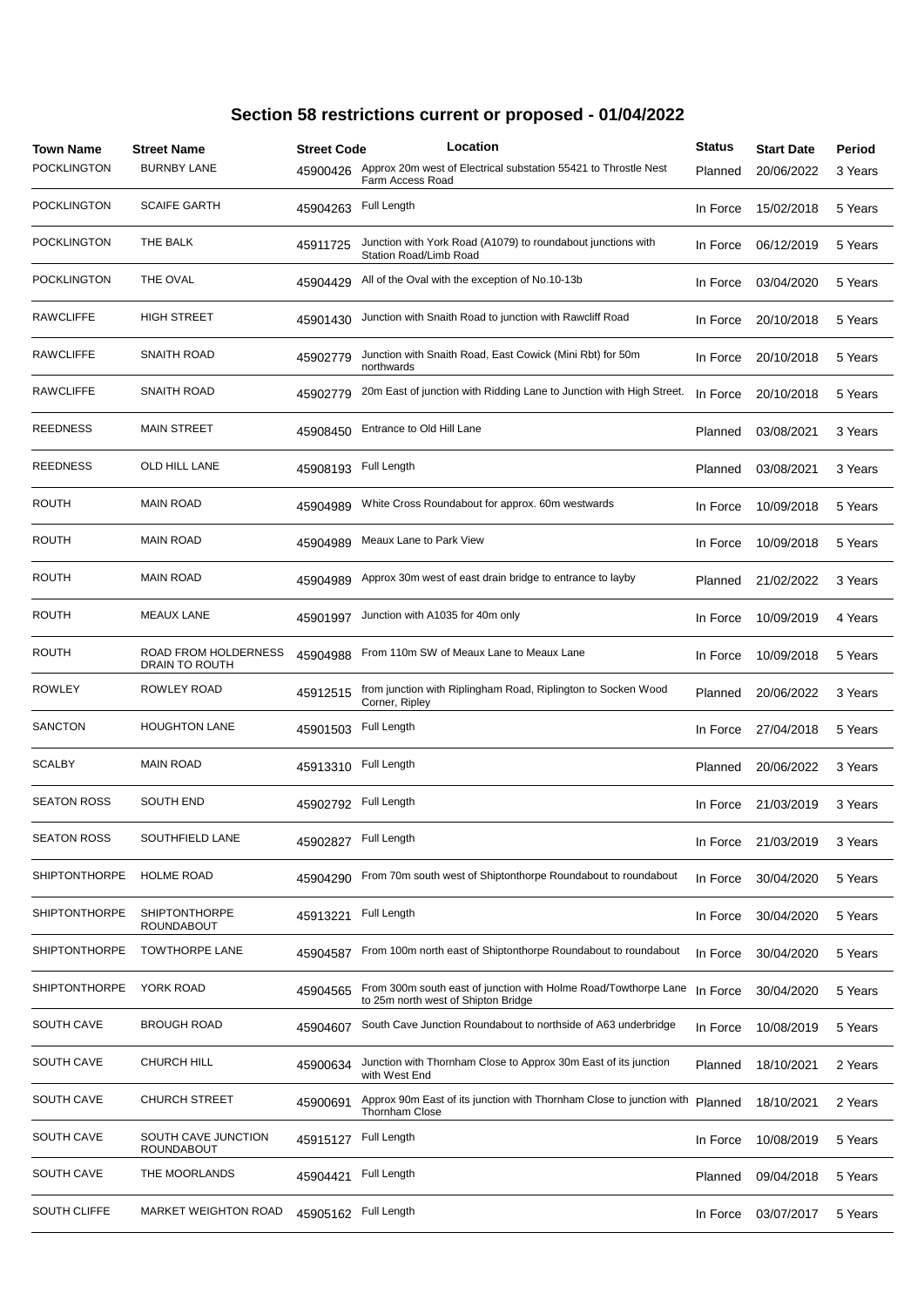| Town Name<br><b>POCKLINGTON</b> | <b>Street Name</b><br><b>BURNBY LANE</b>  | <b>Street Code</b><br>45900426 | Location<br>Approx 20m west of Electrical substation 55421 to Throstle Nest                            | <b>Status</b><br>Planned | <b>Start Date</b><br>20/06/2022 | Period<br>3 Years |
|---------------------------------|-------------------------------------------|--------------------------------|--------------------------------------------------------------------------------------------------------|--------------------------|---------------------------------|-------------------|
|                                 |                                           |                                | Farm Access Road                                                                                       |                          |                                 |                   |
| <b>POCKLINGTON</b>              | <b>SCAIFE GARTH</b>                       | 45904263                       | Full Length                                                                                            | In Force                 | 15/02/2018                      | 5 Years           |
| POCKLINGTON                     | THE BALK                                  | 45911725                       | Junction with York Road (A1079) to roundabout junctions with<br>Station Road/Limb Road                 | In Force                 | 06/12/2019                      | 5 Years           |
| POCKLINGTON                     | THE OVAL                                  | 45904429                       | All of the Oval with the exception of No.10-13b                                                        | In Force                 | 03/04/2020                      | 5 Years           |
| <b>RAWCLIFFE</b>                | <b>HIGH STREET</b>                        | 45901430                       | Junction with Snaith Road to junction with Rawcliff Road                                               | In Force                 | 20/10/2018                      | 5 Years           |
| <b>RAWCLIFFE</b>                | SNAITH ROAD                               | 45902779                       | Junction with Snaith Road, East Cowick (Mini Rbt) for 50m<br>northwards                                | In Force                 | 20/10/2018                      | 5 Years           |
| <b>RAWCLIFFE</b>                | SNAITH ROAD                               | 45902779                       | 20m East of junction with Ridding Lane to Junction with High Street.                                   | In Force                 | 20/10/2018                      | 5 Years           |
| REEDNESS                        | <b>MAIN STREET</b>                        | 45908450                       | Entrance to Old Hill Lane                                                                              | Planned                  | 03/08/2021                      | 3 Years           |
| <b>REEDNESS</b>                 | OLD HILL LANE                             | 45908193                       | Full Length                                                                                            | Planned                  | 03/08/2021                      | 3 Years           |
| <b>ROUTH</b>                    | <b>MAIN ROAD</b>                          | 45904989                       | White Cross Roundabout for approx. 60m westwards                                                       | In Force                 | 10/09/2018                      | 5 Years           |
| <b>ROUTH</b>                    | <b>MAIN ROAD</b>                          | 45904989                       | Meaux Lane to Park View                                                                                | In Force                 | 10/09/2018                      | 5 Years           |
| <b>ROUTH</b>                    | <b>MAIN ROAD</b>                          | 45904989                       | Approx 30m west of east drain bridge to entrance to layby                                              | Planned                  | 21/02/2022                      | 3 Years           |
| <b>ROUTH</b>                    | <b>MEAUX LANE</b>                         | 45901997                       | Junction with A1035 for 40m only                                                                       | In Force                 | 10/09/2019                      | 4 Years           |
| <b>ROUTH</b>                    | ROAD FROM HOLDERNESS<br>DRAIN TO ROUTH    | 45904988                       | From 110m SW of Meaux Lane to Meaux Lane                                                               | In Force                 | 10/09/2018                      | 5 Years           |
| <b>ROWLEY</b>                   | ROWLEY ROAD                               | 45912515                       | from junction with Riplingham Road, Riplington to Socken Wood<br>Corner, Ripley                        | Planned                  | 20/06/2022                      | 3 Years           |
| SANCTON                         | <b>HOUGHTON LANE</b>                      | 45901503                       | Full Length                                                                                            | In Force                 | 27/04/2018                      | 5 Years           |
| <b>SCALBY</b>                   | <b>MAIN ROAD</b>                          | 45913310                       | Full Length                                                                                            | Planned                  | 20/06/2022                      | 3 Years           |
| <b>SEATON ROSS</b>              | <b>SOUTH END</b>                          | 45902792                       | Full Length                                                                                            | In Force                 | 21/03/2019                      | 3 Years           |
| <b>SEATON ROSS</b>              | SOUTHFIELD LANE                           | 45902827                       | Full Length                                                                                            | In Force                 | 21/03/2019                      | 3 Years           |
| <b>SHIPTONTHORPE</b>            | <b>HOLME ROAD</b>                         | 45904290                       | From 70m south west of Shiptonthorpe Roundabout to roundabout                                          | In Force                 | 30/04/2020                      | 5 Years           |
| <b>SHIPTONTHORPE</b>            | <b>SHIPTONTHORPE</b><br><b>ROUNDABOUT</b> | 45913221                       | Full Length                                                                                            | In Force                 | 30/04/2020                      | 5 Years           |
| <b>SHIPTONTHORPE</b>            | <b>TOWTHORPE LANE</b>                     | 45904587                       | From 100m north east of Shiptonthorpe Roundabout to roundabout                                         | In Force                 | 30/04/2020                      | 5 Years           |
| <b>SHIPTONTHORPE</b>            | YORK ROAD                                 | 45904565                       | From 300m south east of junction with Holme Road/Towthorpe Lane<br>to 25m north west of Shipton Bridge | In Force                 | 30/04/2020                      | 5 Years           |
| <b>SOUTH CAVE</b>               | <b>BROUGH ROAD</b>                        | 45904607                       | South Cave Junction Roundabout to northside of A63 underbridge                                         | In Force                 | 10/08/2019                      | 5 Years           |
| SOUTH CAVE                      | <b>CHURCH HILL</b>                        | 45900634                       | Junction with Thornham Close to Approx 30m East of its junction<br>with West End                       | Planned                  | 18/10/2021                      | 2 Years           |
| SOUTH CAVE                      | CHURCH STREET                             | 45900691                       | Approx 90m East of its junction with Thornham Close to junction with<br><b>Thornham Close</b>          | Planned                  | 18/10/2021                      | 2 Years           |
| <b>SOUTH CAVE</b>               | SOUTH CAVE JUNCTION<br>ROUNDABOUT         | 45915127                       | Full Length                                                                                            | In Force                 | 10/08/2019                      | 5 Years           |
| <b>SOUTH CAVE</b>               | THE MOORLANDS                             | 45904421                       | Full Length                                                                                            | Planned                  | 09/04/2018                      | 5 Years           |
| SOUTH CLIFFE                    | <b>MARKET WEIGHTON ROAD</b>               | 45905162                       | Full Length                                                                                            | In Force                 | 03/07/2017                      | 5 Years           |